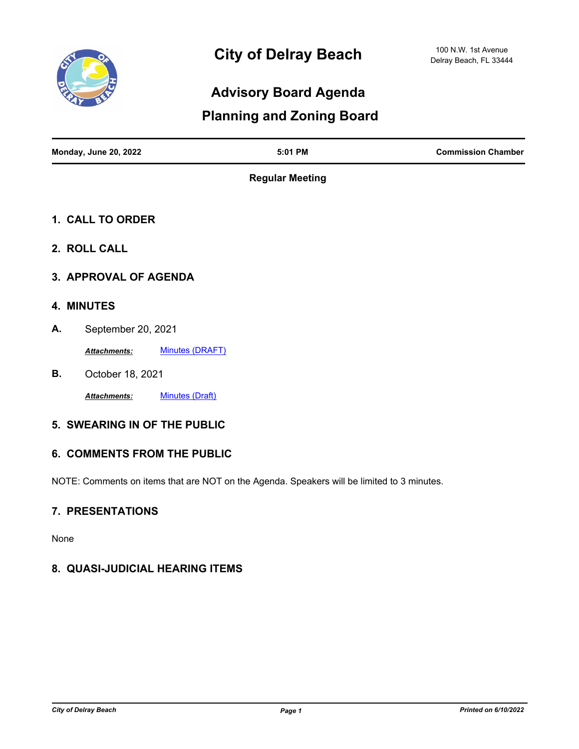

## **Advisory Board Agenda**

## **Planning and Zoning Board**

| <b>Monday, June 20, 2022</b> | $5:01$ PM | <b>Commission Chamber</b> |
|------------------------------|-----------|---------------------------|
|                              |           |                           |

**Regular Meeting**

- **1. CALL TO ORDER**
- **2. ROLL CALL**
- **3. APPROVAL OF AGENDA**

#### **4. MINUTES**

**A.** September 20, 2021

*Attachments:* [Minutes \(DRAFT\)](http://delraybeach.legistar.com/gateway.aspx?M=F&ID=8b5e7784-dcd9-436d-a836-2bb69ff5aa37.pdf)

**B.** October 18, 2021

Attachments: [Minutes \(Draft\)](http://delraybeach.legistar.com/gateway.aspx?M=F&ID=6befb881-24ac-4b48-a351-5ac468b150bc.pdf)

#### **5. SWEARING IN OF THE PUBLIC**

#### **6. COMMENTS FROM THE PUBLIC**

NOTE: Comments on items that are NOT on the Agenda. Speakers will be limited to 3 minutes.

### **7. PRESENTATIONS**

None

### **8. QUASI-JUDICIAL HEARING ITEMS**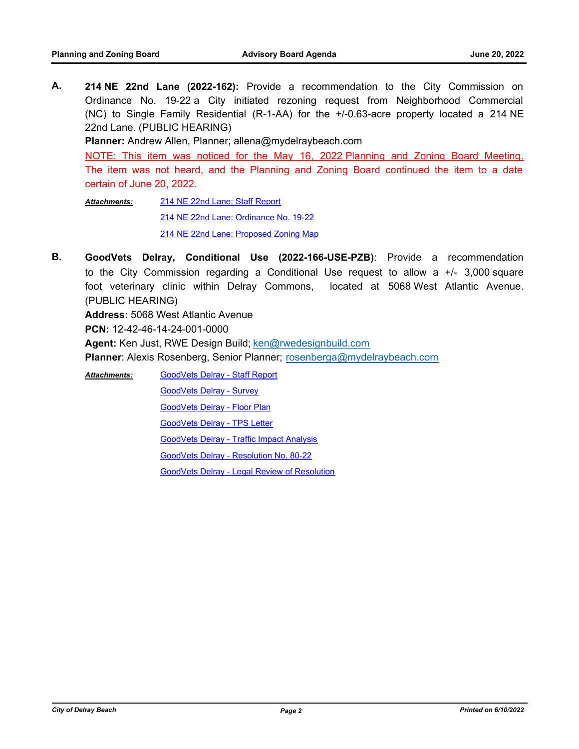**A. 214 NE 22nd Lane (2022-162):** Provide a recommendation to the City Commission on Ordinance No. 19-22 a City initiated rezoning request from Neighborhood Commercial (NC) to Single Family Residential (R-1-AA) for the +/-0.63-acre property located a 214 NE 22nd Lane. (PUBLIC HEARING)

**Planner:** Andrew Allen, Planner; allena@mydelraybeach.com

NOTE: This item was noticed for the May 16, 2022 Planning and Zoning Board Meeting. The item was not heard, and the Planning and Zoning Board continued the item to a date certain of June 20, 2022.

[214 NE 22nd Lane: Staff Report](http://delraybeach.legistar.com/gateway.aspx?M=F&ID=ba1764f8-ccc3-4af9-9d60-a59fb8ce7bb9.pdf) [214 NE 22nd Lane: Ordinance No. 19-22](http://delraybeach.legistar.com/gateway.aspx?M=F&ID=83357e84-6839-4efb-9eaa-adef747c376b.pdf) [214 NE 22nd Lane: Proposed Zoning Map](http://delraybeach.legistar.com/gateway.aspx?M=F&ID=7cb21fc6-8e99-48e4-9e21-0c9fdeb35897.pdf) *Attachments:*

**B. GoodVets Delray, Conditional Use (2022-166-USE-PZB)**: Provide a recommendation to the City Commission regarding a Conditional Use request to allow a  $+/-$  3,000 square foot veterinary clinic within Delray Commons, located at 5068 West Atlantic Avenue. (PUBLIC HEARING)

**Address:** 5068 West Atlantic Avenue

**PCN:** 12-42-46-14-24-001-0000

Agent: Ken Just, RWE Design Build; ken@rwedesignbuild.com

Planner: Alexis Rosenberg, Senior Planner; rosenberga@mydelraybeach.com

*Attachments:*

[GoodVets Delray - Survey](http://delraybeach.legistar.com/gateway.aspx?M=F&ID=e60ac5d1-a451-4b21-92e2-1b726999c9e3.pdf)

[GoodVets Delray - Floor Plan](http://delraybeach.legistar.com/gateway.aspx?M=F&ID=92f2dfe4-7801-4493-b64a-3a1a3312107a.pdf)

[GoodVets Delray - Staff Report](http://delraybeach.legistar.com/gateway.aspx?M=F&ID=e3ab7f40-37dd-4af5-a1c9-efe59048a178.docx)

[GoodVets Delray - TPS Letter](http://delraybeach.legistar.com/gateway.aspx?M=F&ID=2c9e11f1-e719-40fe-a6fa-258ac00d66d3.pdf)

[GoodVets Delray - Traffic Impact Analysis](http://delraybeach.legistar.com/gateway.aspx?M=F&ID=29053dd2-a46d-4dfe-a1f1-98ebdd6e6a53.pdf)

[GoodVets Delray - Resolution No. 80-22](http://delraybeach.legistar.com/gateway.aspx?M=F&ID=462e1be2-b8bd-427b-aa64-c55f81a34238.docx)

[GoodVets Delray - Legal Review of Resolution](http://delraybeach.legistar.com/gateway.aspx?M=F&ID=20b78d0c-7e81-4bb3-9de2-08c844bf70f6.docx)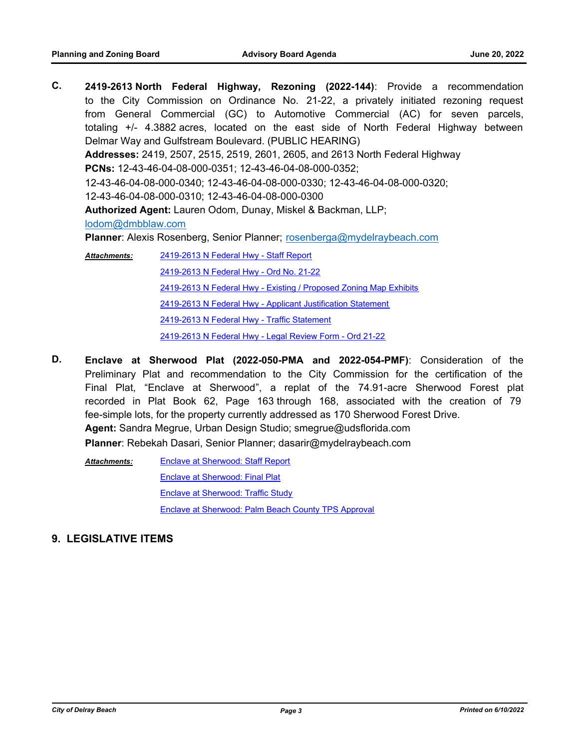**C. 2419-2613 North Federal Highway, Rezoning (2022-144)**: Provide a recommendation to the City Commission on Ordinance No. 21-22, a privately initiated rezoning request from General Commercial (GC) to Automotive Commercial (AC) for seven parcels, totaling +/- 4.3882 acres, located on the east side of North Federal Highway between Delmar Way and Gulfstream Boulevard. (PUBLIC HEARING) **Addresses:** 2419, 2507, 2515, 2519, 2601, 2605, and 2613 North Federal Highway **PCNs:** 12-43-46-04-08-000-0351; 12-43-46-04-08-000-0352; 12-43-46-04-08-000-0340; 12-43-46-04-08-000-0330; 12-43-46-04-08-000-0320; 12-43-46-04-08-000-0310; 12-43-46-04-08-000-0300 **Authorized Agent:** Lauren Odom, Dunay, Miskel & Backman, LLP; lodom@dmbblaw.com **Planner**: Alexis Rosenberg, Senior Planner; rosenberga@mydelraybeach.com [2419-2613 N Federal Hwy - Staff Report](http://delraybeach.legistar.com/gateway.aspx?M=F&ID=a04773a1-1d31-4ce3-b7bf-e107cf924751.docx) [2419-2613 N Federal Hwy - Ord No. 21-22](http://delraybeach.legistar.com/gateway.aspx?M=F&ID=afc7c4f8-9690-49a4-80ff-9a7f075485c4.docx) [2419-2613 N Federal Hwy - Existing / Proposed Zoning Map Exhibits](http://delraybeach.legistar.com/gateway.aspx?M=F&ID=7740fe8f-97d4-4efe-a3b9-06dbdd1863af.docx) [2419-2613 N Federal Hwy - Applicant Justification Statement](http://delraybeach.legistar.com/gateway.aspx?M=F&ID=f06b84f0-02d4-49ea-b5c6-a90842f6a687.pdf) [2419-2613 N Federal Hwy - Traffic Statement](http://delraybeach.legistar.com/gateway.aspx?M=F&ID=0a600ef6-5433-4832-9c21-2a1b0423cd13.pdf) *Attachments:*

[2419-2613 N Federal Hwy - Legal Review Form - Ord 21-22](http://delraybeach.legistar.com/gateway.aspx?M=F&ID=b2f78a98-0fc1-4607-a3eb-2183374d6c91.docx)

- **D. Enclave at Sherwood Plat (2022-050-PMA and 2022-054-PMF)**: Consideration of the Preliminary Plat and recommendation to the City Commission for the certification of the Final Plat, "Enclave at Sherwood", a replat of the 74.91-acre Sherwood Forest plat recorded in Plat Book 62, Page 163 through 168, associated with the creation of 79 fee-simple lots, for the property currently addressed as 170 Sherwood Forest Drive. **Agent:** Sandra Megrue, Urban Design Studio; smegrue@udsflorida.com **Planner**: Rebekah Dasari, Senior Planner; dasarir@mydelraybeach.com
	- [Enclave at Sherwood: Staff Report](http://delraybeach.legistar.com/gateway.aspx?M=F&ID=a9d0cd46-450d-4cac-b3ea-3cfc1ef5983d.docx) [Enclave at Sherwood: Final Plat](http://delraybeach.legistar.com/gateway.aspx?M=F&ID=ddba1458-f5af-4461-8725-7c3b8f027dd0.pdf) [Enclave at Sherwood: Traffic Study](http://delraybeach.legistar.com/gateway.aspx?M=F&ID=225fe605-96a6-4bc7-8352-a41a6edecb43.pdf) [Enclave at Sherwood: Palm Beach County TPS Approval](http://delraybeach.legistar.com/gateway.aspx?M=F&ID=547c97d1-bbee-457b-99c2-86d67c26bb82.pdf) *Attachments:*
- **9. LEGISLATIVE ITEMS**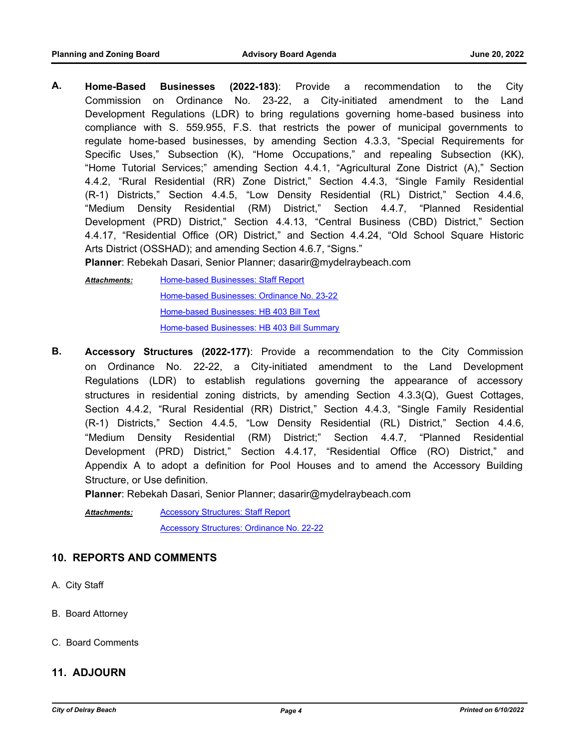**A. Home-Based Businesses (2022-183)**: Provide a recommendation to the City Commission on Ordinance No. 23-22, a City-initiated amendment to the Land Development Regulations (LDR) to bring regulations governing home-based business into compliance with S. 559.955, F.S. that restricts the power of municipal governments to regulate home-based businesses, by amending Section 4.3.3, "Special Requirements for Specific Uses," Subsection (K), "Home Occupations," and repealing Subsection (KK), "Home Tutorial Services;" amending Section 4.4.1, "Agricultural Zone District (A)," Section 4.4.2, "Rural Residential (RR) Zone District," Section 4.4.3, "Single Family Residential (R-1) Districts," Section 4.4.5, "Low Density Residential (RL) District," Section 4.4.6, "Medium Density Residential (RM) District," Section 4.4.7, "Planned Residential Development (PRD) District," Section 4.4.13, "Central Business (CBD) District," Section 4.4.17, "Residential Office (OR) District," and Section 4.4.24, "Old School Square Historic Arts District (OSSHAD); and amending Section 4.6.7, "Signs."

**Planner**: Rebekah Dasari, Senior Planner; dasarir@mydelraybeach.com

[Home-based Businesses: Staff Report](http://delraybeach.legistar.com/gateway.aspx?M=F&ID=364cfcef-abe4-4ff9-9999-3ca7f94d8425.docx) [Home-based Businesses: Ordinance No. 23-22](http://delraybeach.legistar.com/gateway.aspx?M=F&ID=8a3096aa-c5ab-4f68-85a3-f5cae754594c.docx) [Home-based Businesses: HB 403 Bill Text](http://delraybeach.legistar.com/gateway.aspx?M=F&ID=7d4347cb-cc08-469a-b07f-c290151106dd.pdf) [Home-based Businesses: HB 403 Bill Summary](http://delraybeach.legistar.com/gateway.aspx?M=F&ID=739153b4-0534-40b7-a3e0-b9a5d876619b.pdf) *Attachments:*

**B. Accessory Structures (2022-177)**: Provide a recommendation to the City Commission on Ordinance No. 22-22, a City-initiated amendment to the Land Development Regulations (LDR) to establish regulations governing the appearance of accessory structures in residential zoning districts, by amending Section 4.3.3(Q), Guest Cottages, Section 4.4.2, "Rural Residential (RR) District," Section 4.4.3, "Single Family Residential (R-1) Districts," Section 4.4.5, "Low Density Residential (RL) District," Section 4.4.6, "Medium Density Residential (RM) District;" Section 4.4.7, "Planned Residential Development (PRD) District," Section 4.4.17, "Residential Office (RO) District," and Appendix A to adopt a definition for Pool Houses and to amend the Accessory Building Structure, or Use definition.

**Planner**: Rebekah Dasari, Senior Planner; dasarir@mydelraybeach.com

[Accessory Structures: Staff Report](http://delraybeach.legistar.com/gateway.aspx?M=F&ID=7bcfc4fd-a3c6-4108-a43f-381e71dc6b5e.docx) [Accessory Structures: Ordinance No. 22-22](http://delraybeach.legistar.com/gateway.aspx?M=F&ID=0ee19a6a-90ab-4cd0-b7af-1282db281ed6.docx) *Attachments:*

# **10. REPORTS AND COMMENTS**

- A. City Staff
- B. Board Attorney
- C. Board Comments

#### **11. ADJOURN**